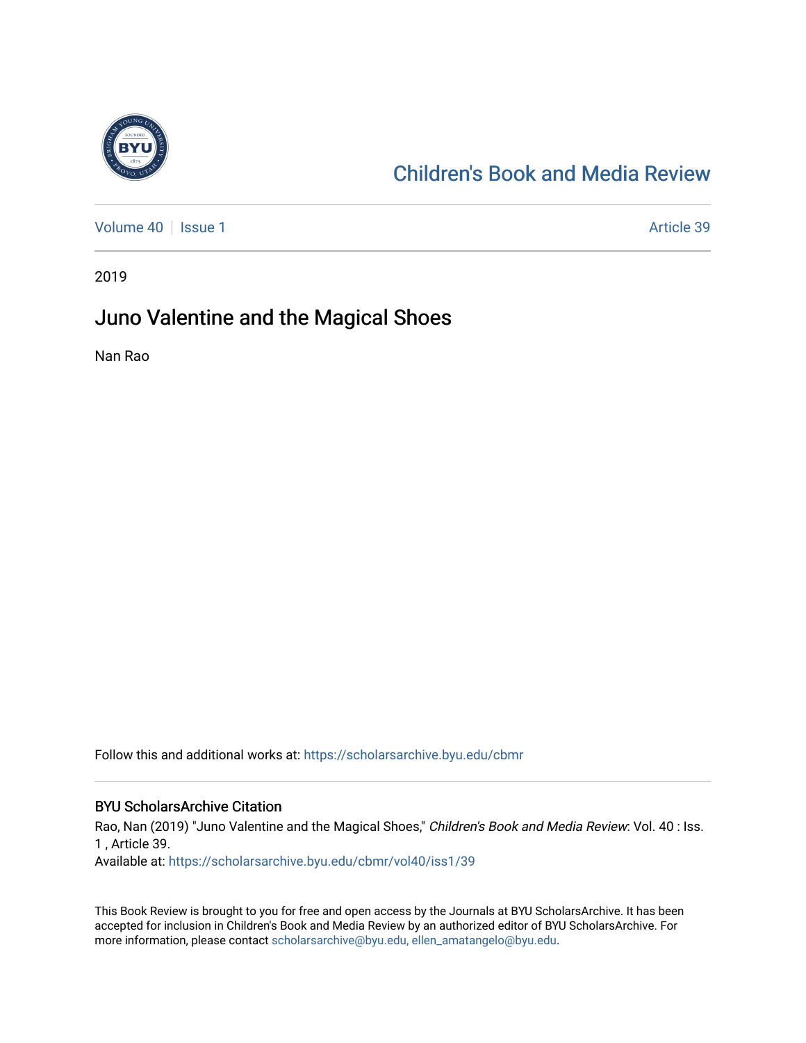

## [Children's Book and Media Review](https://scholarsarchive.byu.edu/cbmr)

[Volume 40](https://scholarsarchive.byu.edu/cbmr/vol40) | [Issue 1](https://scholarsarchive.byu.edu/cbmr/vol40/iss1) Article 39

2019

## Juno Valentine and the Magical Shoes

Nan Rao

Follow this and additional works at: [https://scholarsarchive.byu.edu/cbmr](https://scholarsarchive.byu.edu/cbmr?utm_source=scholarsarchive.byu.edu%2Fcbmr%2Fvol40%2Fiss1%2F39&utm_medium=PDF&utm_campaign=PDFCoverPages) 

#### BYU ScholarsArchive Citation

Rao, Nan (2019) "Juno Valentine and the Magical Shoes," Children's Book and Media Review: Vol. 40 : Iss. 1 , Article 39.

Available at: [https://scholarsarchive.byu.edu/cbmr/vol40/iss1/39](https://scholarsarchive.byu.edu/cbmr/vol40/iss1/39?utm_source=scholarsarchive.byu.edu%2Fcbmr%2Fvol40%2Fiss1%2F39&utm_medium=PDF&utm_campaign=PDFCoverPages)

This Book Review is brought to you for free and open access by the Journals at BYU ScholarsArchive. It has been accepted for inclusion in Children's Book and Media Review by an authorized editor of BYU ScholarsArchive. For more information, please contact [scholarsarchive@byu.edu, ellen\\_amatangelo@byu.edu.](mailto:scholarsarchive@byu.edu,%20ellen_amatangelo@byu.edu)